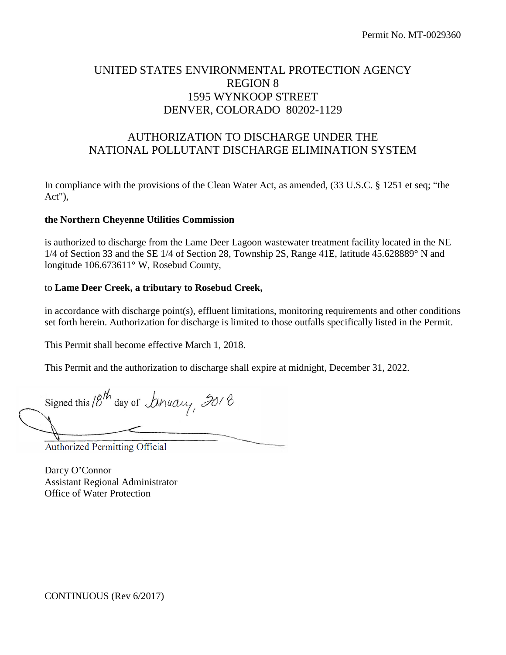# UNITED STATES ENVIRONMENTAL PROTECTION AGENCY REGION 8 1595 WYNKOOP STREET DENVER, COLORADO 80202-1129

# AUTHORIZATION TO DISCHARGE UNDER THE NATIONAL POLLUTANT DISCHARGE ELIMINATION SYSTEM

In compliance with the provisions of the Clean Water Act, as amended, (33 U.S.C. § 1251 et seq; "the Act"),

#### **the Northern Cheyenne Utilities Commission**

is authorized to discharge from the Lame Deer Lagoon wastewater treatment facility located in the NE 1/4 of Section 33 and the SE 1/4 of Section 28, Township 2S, Range 41E, latitude 45.628889° N and longitude 106.673611° W, Rosebud County,

#### to **Lame Deer Creek, a tributary to Rosebud Creek,**

in accordance with discharge point(s), effluent limitations, monitoring requirements and other conditions set forth herein. Authorization for discharge is limited to those outfalls specifically listed in the Permit.

This Permit shall become effective March 1, 2018.

This Permit and the authorization to discharge shall expire at midnight, December 31, 2022.

Signed this  $8^{th}$  day of Dinuary,  $30/8$  $+$ 

Authorized Permitting Official

Darcy O'Connor Assistant Regional Administrator Office of Water Protection

CONTINUOUS (Rev 6/2017)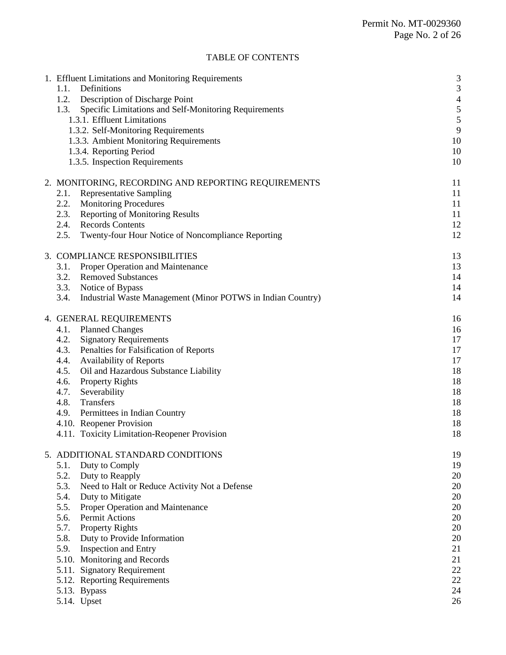# TABLE OF CONTENTS

| 1.1.<br>1.2.<br>1.3. | 1. Effluent Limitations and Monitoring Requirements<br>Definitions<br>Description of Discharge Point<br>Specific Limitations and Self-Monitoring Requirements<br>1.3.1. Effluent Limitations<br>1.3.2. Self-Monitoring Requirements<br>1.3.3. Ambient Monitoring Requirements<br>1.3.4. Reporting Period<br>1.3.5. Inspection Requirements | 3<br>3<br>$\overline{4}$<br>5<br>5<br>9<br>10<br>10<br>10 |
|----------------------|--------------------------------------------------------------------------------------------------------------------------------------------------------------------------------------------------------------------------------------------------------------------------------------------------------------------------------------------|-----------------------------------------------------------|
|                      | 2. MONITORING, RECORDING AND REPORTING REQUIREMENTS                                                                                                                                                                                                                                                                                        |                                                           |
|                      | 11                                                                                                                                                                                                                                                                                                                                         |                                                           |
| 2.1.                 | <b>Representative Sampling</b>                                                                                                                                                                                                                                                                                                             | 11                                                        |
| 2.2.<br>2.3.         | <b>Monitoring Procedures</b><br><b>Reporting of Monitoring Results</b>                                                                                                                                                                                                                                                                     | 11<br>11                                                  |
| 2.4.                 | <b>Records Contents</b>                                                                                                                                                                                                                                                                                                                    | 12                                                        |
| 2.5.                 | Twenty-four Hour Notice of Noncompliance Reporting                                                                                                                                                                                                                                                                                         | 12                                                        |
|                      |                                                                                                                                                                                                                                                                                                                                            |                                                           |
|                      | 3. COMPLIANCE RESPONSIBILITIES                                                                                                                                                                                                                                                                                                             | 13                                                        |
| 3.1.                 | <b>Proper Operation and Maintenance</b>                                                                                                                                                                                                                                                                                                    | 13                                                        |
| 3.2.                 | <b>Removed Substances</b>                                                                                                                                                                                                                                                                                                                  | 14                                                        |
| 3.3.                 | Notice of Bypass                                                                                                                                                                                                                                                                                                                           | 14                                                        |
| 3.4.                 | Industrial Waste Management (Minor POTWS in Indian Country)                                                                                                                                                                                                                                                                                | 14                                                        |
|                      | 4. GENERAL REQUIREMENTS                                                                                                                                                                                                                                                                                                                    | 16                                                        |
| 4.1.                 | <b>Planned Changes</b>                                                                                                                                                                                                                                                                                                                     | 16                                                        |
| 4.2.                 | <b>Signatory Requirements</b>                                                                                                                                                                                                                                                                                                              | 17                                                        |
| 4.3.                 | Penalties for Falsification of Reports                                                                                                                                                                                                                                                                                                     | 17                                                        |
| 4.4.                 | <b>Availability of Reports</b>                                                                                                                                                                                                                                                                                                             | 17                                                        |
| 4.5.                 | Oil and Hazardous Substance Liability                                                                                                                                                                                                                                                                                                      | 18                                                        |
| 4.6.                 | <b>Property Rights</b>                                                                                                                                                                                                                                                                                                                     | 18                                                        |
| 4.7.                 | Severability                                                                                                                                                                                                                                                                                                                               | 18                                                        |
| 4.8.                 | Transfers                                                                                                                                                                                                                                                                                                                                  | 18                                                        |
| 4.9.                 | Permittees in Indian Country<br>4.10. Reopener Provision                                                                                                                                                                                                                                                                                   | 18<br>18                                                  |
|                      | 4.11. Toxicity Limitation-Reopener Provision                                                                                                                                                                                                                                                                                               | 18                                                        |
|                      |                                                                                                                                                                                                                                                                                                                                            |                                                           |
|                      | 5. ADDITIONAL STANDARD CONDITIONS                                                                                                                                                                                                                                                                                                          | 19                                                        |
| 5.1.                 | Duty to Comply                                                                                                                                                                                                                                                                                                                             | 19                                                        |
| 5.2.                 | Duty to Reapply                                                                                                                                                                                                                                                                                                                            | 20                                                        |
| 5.3.                 | Need to Halt or Reduce Activity Not a Defense                                                                                                                                                                                                                                                                                              | 20                                                        |
| 5.4.                 | Duty to Mitigate                                                                                                                                                                                                                                                                                                                           | 20                                                        |
| 5.5.                 | Proper Operation and Maintenance                                                                                                                                                                                                                                                                                                           | 20                                                        |
| 5.6.<br>5.7.         | Permit Actions                                                                                                                                                                                                                                                                                                                             | 20<br>20                                                  |
| 5.8.                 | <b>Property Rights</b><br>Duty to Provide Information                                                                                                                                                                                                                                                                                      | 20                                                        |
| 5.9.                 | <b>Inspection and Entry</b>                                                                                                                                                                                                                                                                                                                | 21                                                        |
|                      | 5.10. Monitoring and Records                                                                                                                                                                                                                                                                                                               | 21                                                        |
|                      | 5.11. Signatory Requirement                                                                                                                                                                                                                                                                                                                | 22                                                        |
|                      | 5.12. Reporting Requirements                                                                                                                                                                                                                                                                                                               | 22                                                        |
|                      | 5.13. Bypass                                                                                                                                                                                                                                                                                                                               | 24                                                        |
|                      | 5.14. Upset                                                                                                                                                                                                                                                                                                                                | 26                                                        |
|                      |                                                                                                                                                                                                                                                                                                                                            |                                                           |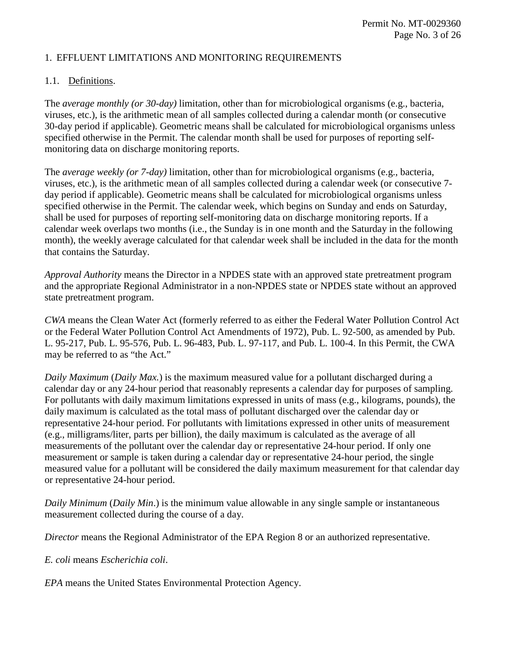## 1. EFFLUENT LIMITATIONS AND MONITORING REQUIREMENTS

## 1.1. Definitions.

The *average monthly (or 30-day)* limitation, other than for microbiological organisms (e.g., bacteria, viruses, etc.), is the arithmetic mean of all samples collected during a calendar month (or consecutive 30-day period if applicable). Geometric means shall be calculated for microbiological organisms unless specified otherwise in the Permit. The calendar month shall be used for purposes of reporting selfmonitoring data on discharge monitoring reports.

The *average weekly (or 7-day)* limitation, other than for microbiological organisms (e.g., bacteria, viruses, etc.), is the arithmetic mean of all samples collected during a calendar week (or consecutive 7 day period if applicable). Geometric means shall be calculated for microbiological organisms unless specified otherwise in the Permit. The calendar week, which begins on Sunday and ends on Saturday, shall be used for purposes of reporting self-monitoring data on discharge monitoring reports. If a calendar week overlaps two months (i.e., the Sunday is in one month and the Saturday in the following month), the weekly average calculated for that calendar week shall be included in the data for the month that contains the Saturday.

*Approval Authority* means the Director in a NPDES state with an approved state pretreatment program and the appropriate Regional Administrator in a non-NPDES state or NPDES state without an approved state pretreatment program.

*CWA* means the Clean Water Act (formerly referred to as either the Federal Water Pollution Control Act or the Federal Water Pollution Control Act Amendments of 1972), Pub. L. 92-500, as amended by Pub. L. 95-217, Pub. L. 95-576, Pub. L. 96-483, Pub. L. 97-117, and Pub. L. 100-4. In this Permit, the CWA may be referred to as "the Act."

*Daily Maximum* (*Daily Max.*) is the maximum measured value for a pollutant discharged during a calendar day or any 24-hour period that reasonably represents a calendar day for purposes of sampling. For pollutants with daily maximum limitations expressed in units of mass (e.g., kilograms, pounds), the daily maximum is calculated as the total mass of pollutant discharged over the calendar day or representative 24-hour period. For pollutants with limitations expressed in other units of measurement (e.g., milligrams/liter, parts per billion), the daily maximum is calculated as the average of all measurements of the pollutant over the calendar day or representative 24-hour period. If only one measurement or sample is taken during a calendar day or representative 24-hour period, the single measured value for a pollutant will be considered the daily maximum measurement for that calendar day or representative 24-hour period.

*Daily Minimum* (*Daily Min*.) is the minimum value allowable in any single sample or instantaneous measurement collected during the course of a day.

*Director* means the Regional Administrator of the EPA Region 8 or an authorized representative.

*E. coli* means *Escherichia coli*.

*EPA* means the United States Environmental Protection Agency.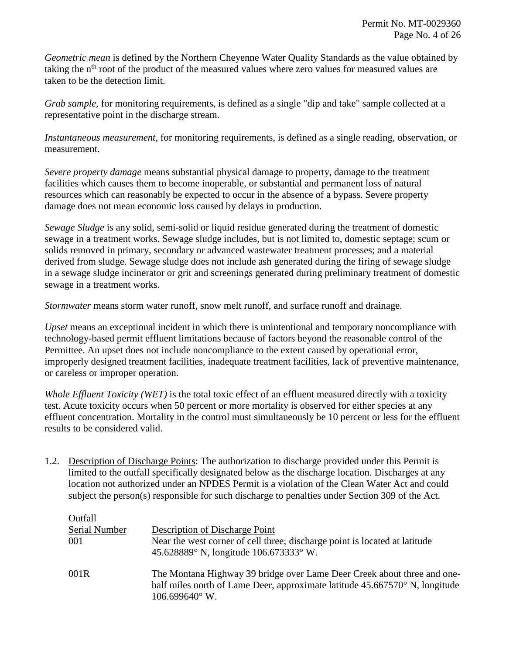*Geometric mean* is defined by the Northern Cheyenne Water Quality Standards as the value obtained by taking the  $n<sup>th</sup>$  root of the product of the measured values where zero values for measured values are taken to be the detection limit.

*Grab sample*, for monitoring requirements, is defined as a single "dip and take" sample collected at a representative point in the discharge stream.

*Instantaneous measurement*, for monitoring requirements, is defined as a single reading, observation, or measurement.

*Severe property damage* means substantial physical damage to property, damage to the treatment facilities which causes them to become inoperable, or substantial and permanent loss of natural resources which can reasonably be expected to occur in the absence of a bypass. Severe property damage does not mean economic loss caused by delays in production.

*Sewage Sludge* is any solid, semi-solid or liquid residue generated during the treatment of domestic sewage in a treatment works. Sewage sludge includes, but is not limited to, domestic septage; scum or solids removed in primary, secondary or advanced wastewater treatment processes; and a material derived from sludge. Sewage sludge does not include ash generated during the firing of sewage sludge in a sewage sludge incinerator or grit and screenings generated during preliminary treatment of domestic sewage in a treatment works.

*Stormwater* means storm water runoff, snow melt runoff, and surface runoff and drainage.

*Upset* means an exceptional incident in which there is unintentional and temporary noncompliance with technology-based permit effluent limitations because of factors beyond the reasonable control of the Permittee. An upset does not include noncompliance to the extent caused by operational error, improperly designed treatment facilities, inadequate treatment facilities, lack of preventive maintenance, or careless or improper operation.

*Whole Effluent Toxicity (WET)* is the total toxic effect of an effluent measured directly with a toxicity test. Acute toxicity occurs when 50 percent or more mortality is observed for either species at any effluent concentration. Mortality in the control must simultaneously be 10 percent or less for the effluent results to be considered valid.

1.2. Description of Discharge Points: The authorization to discharge provided under this Permit is limited to the outfall specifically designated below as the discharge location. Discharges at any location not authorized under an NPDES Permit is a violation of the Clean Water Act and could subject the person(s) responsible for such discharge to penalties under Section 309 of the Act.

| Outfall       |                                                                                                                                                                                   |
|---------------|-----------------------------------------------------------------------------------------------------------------------------------------------------------------------------------|
| Serial Number | Description of Discharge Point                                                                                                                                                    |
| 001           | Near the west corner of cell three; discharge point is located at latitude<br>45.628889° N, longitude 106.673333° W.                                                              |
| 001R          | The Montana Highway 39 bridge over Lame Deer Creek about three and one-<br>half miles north of Lame Deer, approximate latitude 45.667570° N, longitude<br>$106.699640^{\circ}$ W. |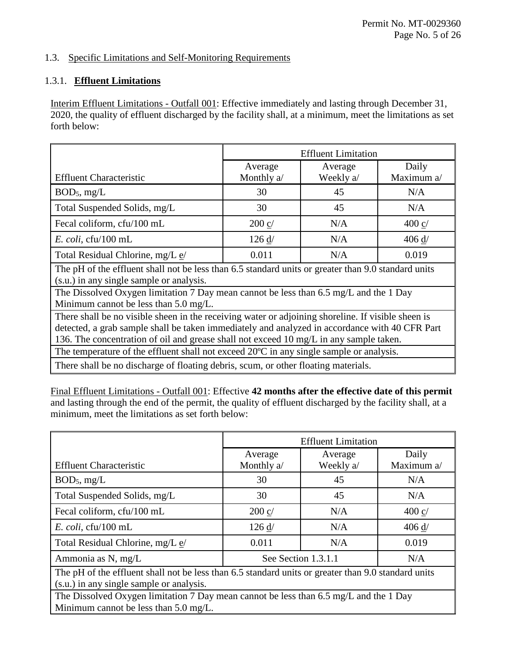## 1.3. Specific Limitations and Self-Monitoring Requirements

# 1.3.1. **Effluent Limitations**

Interim Effluent Limitations - Outfall 001: Effective immediately and lasting through December 31, 2020, the quality of effluent discharged by the facility shall, at a minimum, meet the limitations as set forth below:

|                                                                                                     | <b>Effluent Limitation</b> |           |                 |  |  |
|-----------------------------------------------------------------------------------------------------|----------------------------|-----------|-----------------|--|--|
|                                                                                                     | Average                    | Average   | Daily           |  |  |
| <b>Effluent Characteristic</b>                                                                      | Monthly a/                 | Weekly a/ | Maximum a/      |  |  |
| $BOD_5$ , mg/L                                                                                      | 30                         | 45        | N/A             |  |  |
| Total Suspended Solids, mg/L                                                                        | 30                         | 45        | N/A             |  |  |
| Fecal coliform, cfu/100 mL                                                                          | $200$ c/                   | N/A       | $400 \text{ c}$ |  |  |
| $E.$ coli, cfu/100 mL                                                                               | 126 d/                     | N/A       | 406 d/          |  |  |
| Total Residual Chlorine, mg/L e/                                                                    | 0.011                      | N/A       | 0.019           |  |  |
| The pH of the effluent shall not be less than 6.5 standard units or greater than 9.0 standard units |                            |           |                 |  |  |
| (s.u.) in any single sample or analysis.                                                            |                            |           |                 |  |  |
| The Dissolved Oxygen limitation 7 Day mean cannot be less than 6.5 mg/L and the 1 Day               |                            |           |                 |  |  |
| Minimum cannot be less than $5.0 \text{ mg/L}$ .                                                    |                            |           |                 |  |  |
| There shall be no visible sheen in the receiving water or adjoining shoreline. If visible sheen is  |                            |           |                 |  |  |
| detected, a grab sample shall be taken immediately and analyzed in accordance with 40 CFR Part      |                            |           |                 |  |  |
| 136. The concentration of oil and grease shall not exceed 10 mg/L in any sample taken.              |                            |           |                 |  |  |
| The temperature of the effluent shall not exceed 20°C in any single sample or analysis.             |                            |           |                 |  |  |
| There shall be no discharge of floating debris, scum, or other floating materials.                  |                            |           |                 |  |  |

Final Effluent Limitations - Outfall 001: Effective **42 months after the effective date of this permit** and lasting through the end of the permit, the quality of effluent discharged by the facility shall, at a minimum, meet the limitations as set forth below:

|                                                                                                                                                 | <b>Effluent Limitation</b> |           |                 |  |  |
|-------------------------------------------------------------------------------------------------------------------------------------------------|----------------------------|-----------|-----------------|--|--|
|                                                                                                                                                 | Average                    | Average   | Daily           |  |  |
| <b>Effluent Characteristic</b>                                                                                                                  | Monthly a/                 | Weekly a/ | Maximum a/      |  |  |
| $BOD_5$ , mg/L                                                                                                                                  | 30                         | 45        | N/A             |  |  |
| Total Suspended Solids, mg/L                                                                                                                    | 30                         | 45        | N/A             |  |  |
| Fecal coliform, cfu/100 mL                                                                                                                      | $200 \text{ c}$            | N/A       | $400 \text{ c}$ |  |  |
| $E.$ coli, cfu/100 mL                                                                                                                           | 126 d/                     | N/A       | 406 d/          |  |  |
| Total Residual Chlorine, mg/L e/                                                                                                                | 0.011                      | N/A       | 0.019           |  |  |
| Ammonia as N, mg/L                                                                                                                              | See Section 1.3.1.1        | N/A       |                 |  |  |
| The pH of the effluent shall not be less than 6.5 standard units or greater than 9.0 standard units<br>(s.u.) in any single sample or analysis. |                            |           |                 |  |  |
| The Dissolved Oxygen limitation 7 Day mean cannot be less than 6.5 mg/L and the 1 Day<br>Minimum cannot be less than $5.0 \text{ mg/L}$ .       |                            |           |                 |  |  |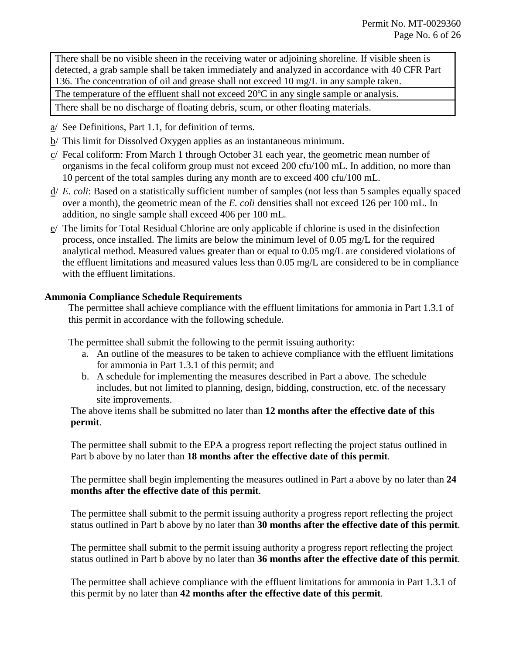There shall be no visible sheen in the receiving water or adjoining shoreline. If visible sheen is detected, a grab sample shall be taken immediately and analyzed in accordance with 40 CFR Part 136. The concentration of oil and grease shall not exceed 10 mg/L in any sample taken. The temperature of the effluent shall not exceed  $20^{\circ}$ C in any single sample or analysis.

There shall be no discharge of floating debris, scum, or other floating materials.

- a/ See Definitions, Part 1.1, for definition of terms.
- b/ This limit for Dissolved Oxygen applies as an instantaneous minimum.
- c/ Fecal coliform: From March 1 through October 31 each year, the geometric mean number of organisms in the fecal coliform group must not exceed 200 cfu/100 mL. In addition, no more than 10 percent of the total samples during any month are to exceed 400 cfu/100 mL.
- d/ *E. coli*: Based on a statistically sufficient number of samples (not less than 5 samples equally spaced over a month), the geometric mean of the *E. coli* densities shall not exceed 126 per 100 mL. In addition, no single sample shall exceed 406 per 100 mL.
- e/ The limits for Total Residual Chlorine are only applicable if chlorine is used in the disinfection process, once installed. The limits are below the minimum level of 0.05 mg/L for the required analytical method. Measured values greater than or equal to 0.05 mg/L are considered violations of the effluent limitations and measured values less than 0.05 mg/L are considered to be in compliance with the effluent limitations.

## **Ammonia Compliance Schedule Requirements**

The permittee shall achieve compliance with the effluent limitations for ammonia in Part 1.3.1 of this permit in accordance with the following schedule.

The permittee shall submit the following to the permit issuing authority:

- a. An outline of the measures to be taken to achieve compliance with the effluent limitations for ammonia in Part 1.3.1 of this permit; and
- b. A schedule for implementing the measures described in Part a above. The schedule includes, but not limited to planning, design, bidding, construction, etc. of the necessary site improvements.

The above items shall be submitted no later than **12 months after the effective date of this permit**.

The permittee shall submit to the EPA a progress report reflecting the project status outlined in Part b above by no later than **18 months after the effective date of this permit**.

The permittee shall begin implementing the measures outlined in Part a above by no later than **24 months after the effective date of this permit**.

The permittee shall submit to the permit issuing authority a progress report reflecting the project status outlined in Part b above by no later than **30 months after the effective date of this permit**.

The permittee shall submit to the permit issuing authority a progress report reflecting the project status outlined in Part b above by no later than **36 months after the effective date of this permit**.

The permittee shall achieve compliance with the effluent limitations for ammonia in Part 1.3.1 of this permit by no later than **42 months after the effective date of this permit**.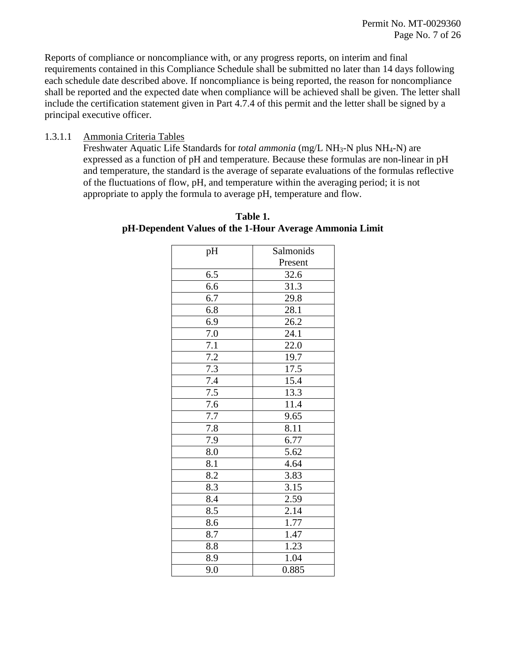Reports of compliance or noncompliance with, or any progress reports, on interim and final requirements contained in this Compliance Schedule shall be submitted no later than 14 days following each schedule date described above. If noncompliance is being reported, the reason for noncompliance shall be reported and the expected date when compliance will be achieved shall be given. The letter shall include the certification statement given in Part 4.7.4 of this permit and the letter shall be signed by a principal executive officer.

#### 1.3.1.1 Ammonia Criteria Tables

Freshwater Aquatic Life Standards for *total ammonia* (mg/L NH<sub>3</sub>-N plus NH<sub>4</sub>-N) are expressed as a function of pH and temperature. Because these formulas are non-linear in pH and temperature, the standard is the average of separate evaluations of the formulas reflective of the fluctuations of flow, pH, and temperature within the averaging period; it is not appropriate to apply the formula to average pH, temperature and flow.

| pH      | Salmonids |
|---------|-----------|
|         | Present   |
| 6.5     | 32.6      |
| 6.6     | 31.3      |
| 6.7     | 29.8      |
| 6.8     | 28.1      |
| 6.9     | 26.2      |
| 7.0     | 24.1      |
| 7.1     | 22.0      |
| 7.2     | 19.7      |
| 7.3     | 17.5      |
| $7.4\,$ | 15.4      |
| $7.5\,$ | 13.3      |
| 7.6     | 11.4      |
| 7.7     | 9.65      |
| $7.8\,$ | 8.11      |
| 7.9     | 6.77      |
| 8.0     | 5.62      |
| 8.1     | 4.64      |
| 8.2     | 3.83      |
| 8.3     | 3.15      |
| 8.4     | 2.59      |
| 8.5     | 2.14      |
| 8.6     | 1.77      |
| 8.7     | 1.47      |
| 8.8     | 1.23      |
| 8.9     | 1.04      |
| 9.0     | 0.885     |

#### **Table 1. pH-Dependent Values of the 1-Hour Average Ammonia Limit**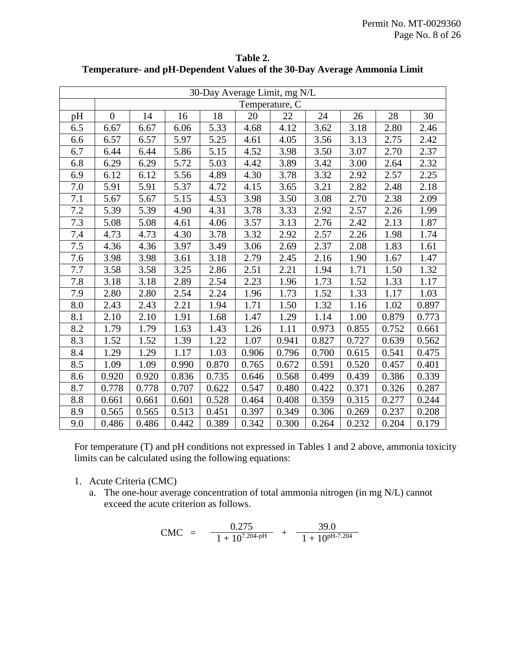| 30-Day Average Limit, mg N/L |                  |       |       |       |       |       |       |       |       |       |
|------------------------------|------------------|-------|-------|-------|-------|-------|-------|-------|-------|-------|
|                              | Temperature, C   |       |       |       |       |       |       |       |       |       |
| pH                           | $\boldsymbol{0}$ | 14    | 16    | 18    | 20    | 22    | 24    | 26    | 28    | 30    |
| 6.5                          | 6.67             | 6.67  | 6.06  | 5.33  | 4.68  | 4.12  | 3.62  | 3.18  | 2.80  | 2.46  |
| 6.6                          | 6.57             | 6.57  | 5.97  | 5.25  | 4.61  | 4.05  | 3.56  | 3.13  | 2.75  | 2.42  |
| 6.7                          | 6.44             | 6.44  | 5.86  | 5.15  | 4.52  | 3.98  | 3.50  | 3.07  | 2.70  | 2.37  |
| 6.8                          | 6.29             | 6.29  | 5.72  | 5.03  | 4.42  | 3.89  | 3.42  | 3.00  | 2.64  | 2.32  |
| 6.9                          | 6.12             | 6.12  | 5.56  | 4.89  | 4.30  | 3.78  | 3.32  | 2.92  | 2.57  | 2.25  |
| 7.0                          | 5.91             | 5.91  | 5.37  | 4.72  | 4.15  | 3.65  | 3.21  | 2.82  | 2.48  | 2.18  |
| 7.1                          | 5.67             | 5.67  | 5.15  | 4.53  | 3.98  | 3.50  | 3.08  | 2.70  | 2.38  | 2.09  |
| 7.2                          | 5.39             | 5.39  | 4.90  | 4.31  | 3.78  | 3.33  | 2.92  | 2.57  | 2.26  | 1.99  |
| 7.3                          | 5.08             | 5.08  | 4.61  | 4.06  | 3.57  | 3.13  | 2.76  | 2.42  | 2.13  | 1.87  |
| 7.4                          | 4.73             | 4.73  | 4.30  | 3.78  | 3.32  | 2.92  | 2.57  | 2.26  | 1.98  | 1.74  |
| 7.5                          | 4.36             | 4.36  | 3.97  | 3.49  | 3.06  | 2.69  | 2.37  | 2.08  | 1.83  | 1.61  |
| 7.6                          | 3.98             | 3.98  | 3.61  | 3.18  | 2.79  | 2.45  | 2.16  | 1.90  | 1.67  | 1.47  |
| 7.7                          | 3.58             | 3.58  | 3.25  | 2.86  | 2.51  | 2.21  | 1.94  | 1.71  | 1.50  | 1.32  |
| 7.8                          | 3.18             | 3.18  | 2.89  | 2.54  | 2.23  | 1.96  | 1.73  | 1.52  | 1.33  | 1.17  |
| 7.9                          | 2.80             | 2.80  | 2.54  | 2.24  | 1.96  | 1.73  | 1.52  | 1.33  | 1.17  | 1.03  |
| 8.0                          | 2.43             | 2.43  | 2.21  | 1.94  | 1.71  | 1.50  | 1.32  | 1.16  | 1.02  | 0.897 |
| 8.1                          | 2.10             | 2.10  | 1.91  | 1.68  | 1.47  | 1.29  | 1.14  | 1.00  | 0.879 | 0.773 |
| 8.2                          | 1.79             | 1.79  | 1.63  | 1.43  | 1.26  | 1.11  | 0.973 | 0.855 | 0.752 | 0.661 |
| 8.3                          | 1.52             | 1.52  | 1.39  | 1.22  | 1.07  | 0.941 | 0.827 | 0.727 | 0.639 | 0.562 |
| 8.4                          | 1.29             | 1.29  | 1.17  | 1.03  | 0.906 | 0.796 | 0.700 | 0.615 | 0.541 | 0.475 |
| 8.5                          | 1.09             | 1.09  | 0.990 | 0.870 | 0.765 | 0.672 | 0.591 | 0.520 | 0.457 | 0.401 |
| 8.6                          | 0.920            | 0.920 | 0.836 | 0.735 | 0.646 | 0.568 | 0.499 | 0.439 | 0.386 | 0.339 |
| 8.7                          | 0.778            | 0.778 | 0.707 | 0.622 | 0.547 | 0.480 | 0.422 | 0.371 | 0.326 | 0.287 |
| 8.8                          | 0.661            | 0.661 | 0.601 | 0.528 | 0.464 | 0.408 | 0.359 | 0.315 | 0.277 | 0.244 |
| 8.9                          | 0.565            | 0.565 | 0.513 | 0.451 | 0.397 | 0.349 | 0.306 | 0.269 | 0.237 | 0.208 |
| 9.0                          | 0.486            | 0.486 | 0.442 | 0.389 | 0.342 | 0.300 | 0.264 | 0.232 | 0.204 | 0.179 |

**Table 2. Temperature- and pH-Dependent Values of the 30-Day Average Ammonia Limit**

For temperature (T) and pH conditions not expressed in Tables 1 and 2 above, ammonia toxicity limits can be calculated using the following equations:

- 1. Acute Criteria (CMC)
	- a. The one-hour average concentration of total ammonia nitrogen (in mg N/L) cannot exceed the acute criterion as follows.

$$
CMC = \frac{0.275}{1 + 10^{7.204 \cdot pH}} + \frac{39.0}{1 + 10^{pH-7.204}}
$$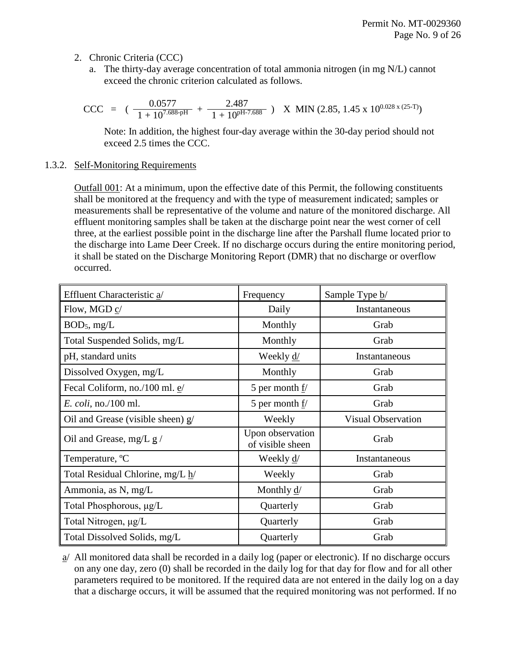- 2. Chronic Criteria (CCC)
	- a. The thirty-day average concentration of total ammonia nitrogen (in mg N/L) cannot exceed the chronic criterion calculated as follows.

$$
CCC = (\frac{0.0577}{1 + 10^{7.688 \cdot pH}} + \frac{2.487}{1 + 10^{pH \cdot 7.688}}) \text{ X MIN } (2.85, 1.45 \text{ x } 10^{0.028 \text{ x } (25 \cdot T)})
$$

Note: In addition, the highest four-day average within the 30-day period should not exceed 2.5 times the CCC.

#### 1.3.2. Self-Monitoring Requirements

Outfall 001: At a minimum, upon the effective date of this Permit, the following constituents shall be monitored at the frequency and with the type of measurement indicated; samples or measurements shall be representative of the volume and nature of the monitored discharge. All effluent monitoring samples shall be taken at the discharge point near the west corner of cell three, at the earliest possible point in the discharge line after the Parshall flume located prior to the discharge into Lame Deer Creek. If no discharge occurs during the entire monitoring period, it shall be stated on the Discharge Monitoring Report (DMR) that no discharge or overflow occurred.

| Effluent Characteristic a/          | Frequency                            | Sample Type b/            |  |
|-------------------------------------|--------------------------------------|---------------------------|--|
| Flow, MGD c/                        | Daily                                | Instantaneous             |  |
| $BOD_5$ , mg/L                      | Monthly                              | Grab                      |  |
| Total Suspended Solids, mg/L        | Monthly                              | Grab                      |  |
| pH, standard units                  | Weekly <u>d/</u>                     | Instantaneous             |  |
| Dissolved Oxygen, mg/L              | Monthly                              | Grab                      |  |
| Fecal Coliform, no./100 ml. e/      | 5 per month $f/$                     | Grab                      |  |
| <i>E. coli, no./100 ml.</i>         | 5 per month $f$ /                    | Grab                      |  |
| Oil and Grease (visible sheen) $g/$ | Weekly                               | <b>Visual Observation</b> |  |
| Oil and Grease, mg/L $g/$           | Upon observation<br>of visible sheen | Grab                      |  |
| Temperature, °C                     | Weekly d/                            | Instantaneous             |  |
| Total Residual Chlorine, mg/L h/    | Weekly                               | Grab                      |  |
| Ammonia, as N, mg/L                 | Monthly $\frac{d}{ }$                | Grab                      |  |
| Total Phosphorous, μg/L             | Quarterly                            | Grab                      |  |
| Total Nitrogen, µg/L                | Quarterly                            | Grab                      |  |
| Total Dissolved Solids, mg/L        | Quarterly                            | Grab                      |  |

a/ All monitored data shall be recorded in a daily log (paper or electronic). If no discharge occurs on any one day, zero (0) shall be recorded in the daily log for that day for flow and for all other parameters required to be monitored. If the required data are not entered in the daily log on a day that a discharge occurs, it will be assumed that the required monitoring was not performed. If no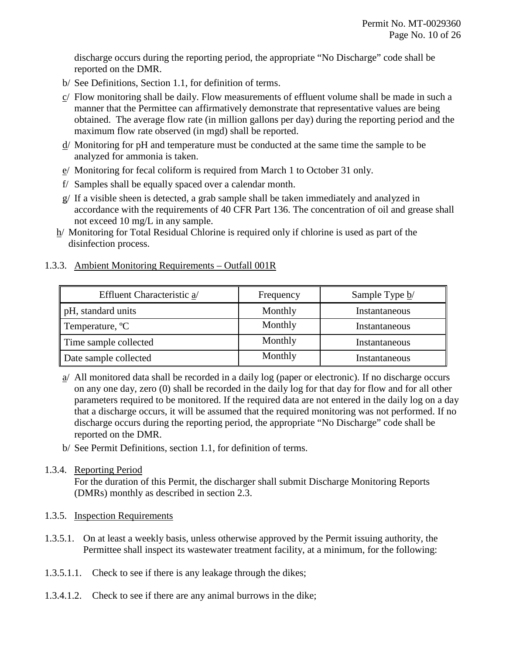discharge occurs during the reporting period, the appropriate "No Discharge" code shall be reported on the DMR.

- b/ See Definitions, Section 1.1, for definition of terms.
- $c/$  Flow monitoring shall be daily. Flow measurements of effluent volume shall be made in such a manner that the Permittee can affirmatively demonstrate that representative values are being obtained. The average flow rate (in million gallons per day) during the reporting period and the maximum flow rate observed (in mgd) shall be reported.
- d/ Monitoring for pH and temperature must be conducted at the same time the sample to be analyzed for ammonia is taken.
- $e$ / Monitoring for fecal coliform is required from March 1 to October 31 only.
- f/ Samples shall be equally spaced over a calendar month.
- g/ If a visible sheen is detected, a grab sample shall be taken immediately and analyzed in accordance with the requirements of 40 CFR Part 136. The concentration of oil and grease shall not exceed 10 mg/L in any sample.
- h/ Monitoring for Total Residual Chlorine is required only if chlorine is used as part of the disinfection process.

## 1.3.3. Ambient Monitoring Requirements – Outfall 001R

| Effluent Characteristic a/  | Frequency | Sample Type b/ |
|-----------------------------|-----------|----------------|
| pH, standard units          | Monthly   | Instantaneous  |
| Temperature, <sup>o</sup> C | Monthly   | Instantaneous  |
| Time sample collected       | Monthly   | Instantaneous  |
| Date sample collected       | Monthly   | Instantaneous  |

a/ All monitored data shall be recorded in a daily log (paper or electronic). If no discharge occurs on any one day, zero (0) shall be recorded in the daily log for that day for flow and for all other parameters required to be monitored. If the required data are not entered in the daily log on a day that a discharge occurs, it will be assumed that the required monitoring was not performed. If no discharge occurs during the reporting period, the appropriate "No Discharge" code shall be reported on the DMR.

b/ See Permit Definitions, section 1.1, for definition of terms.

# 1.3.4. Reporting Period

For the duration of this Permit, the discharger shall submit Discharge Monitoring Reports (DMRs) monthly as described in section 2.3.

## 1.3.5. Inspection Requirements

- 1.3.5.1. On at least a weekly basis, unless otherwise approved by the Permit issuing authority, the Permittee shall inspect its wastewater treatment facility, at a minimum, for the following:
- 1.3.5.1.1. Check to see if there is any leakage through the dikes;
- 1.3.4.1.2. Check to see if there are any animal burrows in the dike;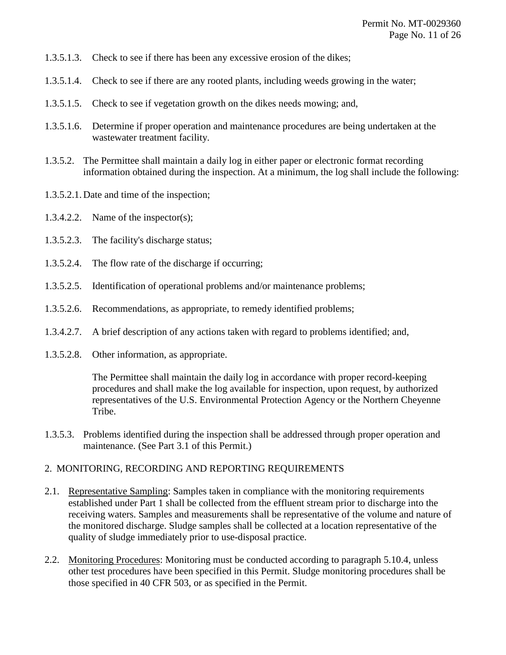- 1.3.5.1.3. Check to see if there has been any excessive erosion of the dikes;
- 1.3.5.1.4. Check to see if there are any rooted plants, including weeds growing in the water;
- 1.3.5.1.5. Check to see if vegetation growth on the dikes needs mowing; and,
- 1.3.5.1.6. Determine if proper operation and maintenance procedures are being undertaken at the wastewater treatment facility.
- 1.3.5.2. The Permittee shall maintain a daily log in either paper or electronic format recording information obtained during the inspection. At a minimum, the log shall include the following:
- 1.3.5.2.1. Date and time of the inspection;
- 1.3.4.2.2. Name of the inspector(s);
- 1.3.5.2.3. The facility's discharge status;
- 1.3.5.2.4. The flow rate of the discharge if occurring;
- 1.3.5.2.5. Identification of operational problems and/or maintenance problems;
- 1.3.5.2.6. Recommendations, as appropriate, to remedy identified problems;
- 1.3.4.2.7. A brief description of any actions taken with regard to problems identified; and,
- 1.3.5.2.8. Other information, as appropriate.

The Permittee shall maintain the daily log in accordance with proper record-keeping procedures and shall make the log available for inspection, upon request, by authorized representatives of the U.S. Environmental Protection Agency or the Northern Cheyenne Tribe.

1.3.5.3. Problems identified during the inspection shall be addressed through proper operation and maintenance. (See Part 3.1 of this Permit.)

#### 2. MONITORING, RECORDING AND REPORTING REQUIREMENTS

- 2.1. Representative Sampling: Samples taken in compliance with the monitoring requirements established under Part 1 shall be collected from the effluent stream prior to discharge into the receiving waters. Samples and measurements shall be representative of the volume and nature of the monitored discharge. Sludge samples shall be collected at a location representative of the quality of sludge immediately prior to use-disposal practice.
- 2.2. Monitoring Procedures: Monitoring must be conducted according to paragraph 5.10.4, unless other test procedures have been specified in this Permit. Sludge monitoring procedures shall be those specified in 40 CFR 503, or as specified in the Permit.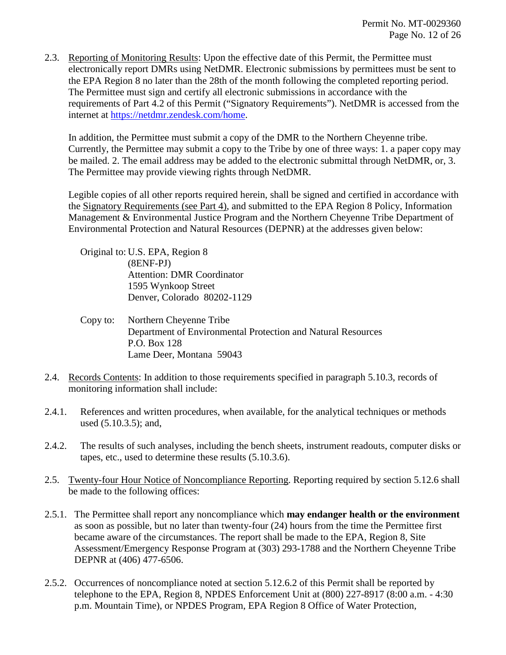2.3. Reporting of Monitoring Results: Upon the effective date of this Permit, the Permittee must electronically report DMRs using NetDMR. Electronic submissions by permittees must be sent to the EPA Region 8 no later than the 28th of the month following the completed reporting period. The Permittee must sign and certify all electronic submissions in accordance with the requirements of Part 4.2 of this Permit ("Signatory Requirements"). NetDMR is accessed from the internet at [https://netdmr.zendesk.com/home.](https://netdmr.zendesk.com/home)

In addition, the Permittee must submit a copy of the DMR to the Northern Cheyenne tribe. Currently, the Permittee may submit a copy to the Tribe by one of three ways: 1. a paper copy may be mailed. 2. The email address may be added to the electronic submittal through NetDMR, or, 3. The Permittee may provide viewing rights through NetDMR.

Legible copies of all other reports required herein, shall be signed and certified in accordance with the Signatory Requirements (see Part 4), and submitted to the EPA Region 8 Policy, Information Management & Environmental Justice Program and the Northern Cheyenne Tribe Department of Environmental Protection and Natural Resources (DEPNR) at the addresses given below:

Original to: U.S. EPA, Region 8 (8ENF-PJ) Attention: DMR Coordinator 1595 Wynkoop Street Denver, Colorado 80202-1129

- Copy to: Northern Cheyenne Tribe Department of Environmental Protection and Natural Resources P.O. Box 128 Lame Deer, Montana 59043
- 2.4. Records Contents: In addition to those requirements specified in paragraph 5.10.3, records of monitoring information shall include:
- 2.4.1. References and written procedures, when available, for the analytical techniques or methods used (5.10.3.5); and,
- 2.4.2. The results of such analyses, including the bench sheets, instrument readouts, computer disks or tapes, etc., used to determine these results (5.10.3.6).
- 2.5. Twenty-four Hour Notice of Noncompliance Reporting. Reporting required by section 5.12.6 shall be made to the following offices:
- 2.5.1. The Permittee shall report any noncompliance which **may endanger health or the environment** as soon as possible, but no later than twenty-four (24) hours from the time the Permittee first became aware of the circumstances. The report shall be made to the EPA, Region 8, Site Assessment/Emergency Response Program at (303) 293-1788 and the Northern Cheyenne Tribe DEPNR at (406) 477-6506.
- 2.5.2. Occurrences of noncompliance noted at section 5.12.6.2 of this Permit shall be reported by telephone to the EPA, Region 8, NPDES Enforcement Unit at (800) 227-8917 (8:00 a.m. - 4:30 p.m. Mountain Time), or NPDES Program, EPA Region 8 Office of Water Protection,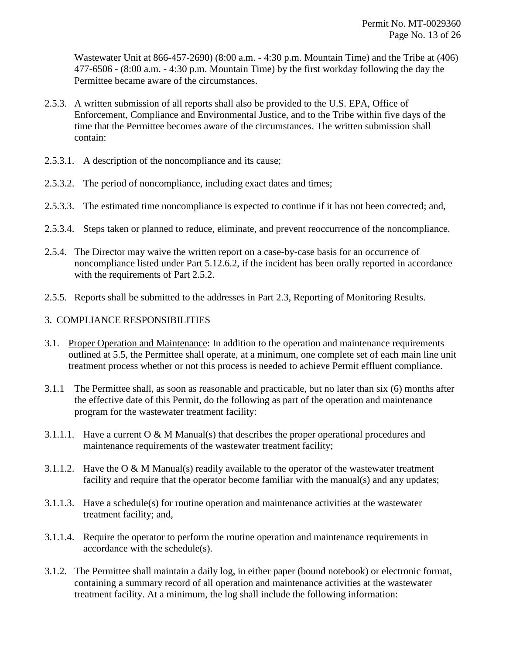Wastewater Unit at 866-457-2690) (8:00 a.m. - 4:30 p.m. Mountain Time) and the Tribe at (406) 477-6506 - (8:00 a.m. - 4:30 p.m. Mountain Time) by the first workday following the day the Permittee became aware of the circumstances.

- 2.5.3. A written submission of all reports shall also be provided to the U.S. EPA, Office of Enforcement, Compliance and Environmental Justice, and to the Tribe within five days of the time that the Permittee becomes aware of the circumstances. The written submission shall contain:
- 2.5.3.1. A description of the noncompliance and its cause;
- 2.5.3.2. The period of noncompliance, including exact dates and times;
- 2.5.3.3. The estimated time noncompliance is expected to continue if it has not been corrected; and,
- 2.5.3.4. Steps taken or planned to reduce, eliminate, and prevent reoccurrence of the noncompliance.
- 2.5.4. The Director may waive the written report on a case-by-case basis for an occurrence of noncompliance listed under Part 5.12.6.2, if the incident has been orally reported in accordance with the requirements of Part 2.5.2.
- 2.5.5. Reports shall be submitted to the addresses in Part 2.3, Reporting of Monitoring Results.

# 3. COMPLIANCE RESPONSIBILITIES

- 3.1. Proper Operation and Maintenance: In addition to the operation and maintenance requirements outlined at 5.5, the Permittee shall operate, at a minimum, one complete set of each main line unit treatment process whether or not this process is needed to achieve Permit effluent compliance.
- 3.1.1 The Permittee shall, as soon as reasonable and practicable, but no later than six (6) months after the effective date of this Permit, do the following as part of the operation and maintenance program for the wastewater treatment facility:
- 3.1.1.1. Have a current  $O & M$  Manual(s) that describes the proper operational procedures and maintenance requirements of the wastewater treatment facility;
- 3.1.1.2. Have the O & M Manual(s) readily available to the operator of the wastewater treatment facility and require that the operator become familiar with the manual(s) and any updates;
- 3.1.1.3. Have a schedule(s) for routine operation and maintenance activities at the wastewater treatment facility; and,
- 3.1.1.4. Require the operator to perform the routine operation and maintenance requirements in accordance with the schedule(s).
- 3.1.2. The Permittee shall maintain a daily log, in either paper (bound notebook) or electronic format, containing a summary record of all operation and maintenance activities at the wastewater treatment facility. At a minimum, the log shall include the following information: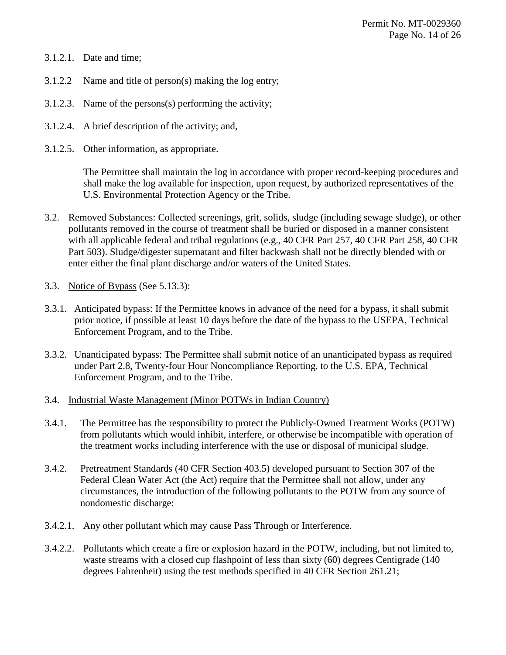- 3.1.2.1. Date and time;
- 3.1.2.2 Name and title of person(s) making the log entry;
- 3.1.2.3. Name of the persons(s) performing the activity;
- 3.1.2.4. A brief description of the activity; and,
- 3.1.2.5. Other information, as appropriate.

The Permittee shall maintain the log in accordance with proper record-keeping procedures and shall make the log available for inspection, upon request, by authorized representatives of the U.S. Environmental Protection Agency or the Tribe.

- 3.2. Removed Substances: Collected screenings, grit, solids, sludge (including sewage sludge), or other pollutants removed in the course of treatment shall be buried or disposed in a manner consistent with all applicable federal and tribal regulations (e.g., 40 CFR Part 257, 40 CFR Part 258, 40 CFR Part 503). Sludge/digester supernatant and filter backwash shall not be directly blended with or enter either the final plant discharge and/or waters of the United States.
- 3.3. Notice of Bypass (See 5.13.3):
- 3.3.1. Anticipated bypass: If the Permittee knows in advance of the need for a bypass, it shall submit prior notice, if possible at least 10 days before the date of the bypass to the USEPA, Technical Enforcement Program, and to the Tribe.
- 3.3.2. Unanticipated bypass: The Permittee shall submit notice of an unanticipated bypass as required under Part 2.8, Twenty-four Hour Noncompliance Reporting, to the U.S. EPA, Technical Enforcement Program, and to the Tribe.
- 3.4. Industrial Waste Management (Minor POTWs in Indian Country)
- 3.4.1. The Permittee has the responsibility to protect the Publicly-Owned Treatment Works (POTW) from pollutants which would inhibit, interfere, or otherwise be incompatible with operation of the treatment works including interference with the use or disposal of municipal sludge.
- 3.4.2. Pretreatment Standards (40 CFR Section 403.5) developed pursuant to Section 307 of the Federal Clean Water Act (the Act) require that the Permittee shall not allow, under any circumstances, the introduction of the following pollutants to the POTW from any source of nondomestic discharge:
- 3.4.2.1. Any other pollutant which may cause Pass Through or Interference.
- 3.4.2.2. Pollutants which create a fire or explosion hazard in the POTW, including, but not limited to, waste streams with a closed cup flashpoint of less than sixty (60) degrees Centigrade (140 degrees Fahrenheit) using the test methods specified in 40 CFR Section 261.21;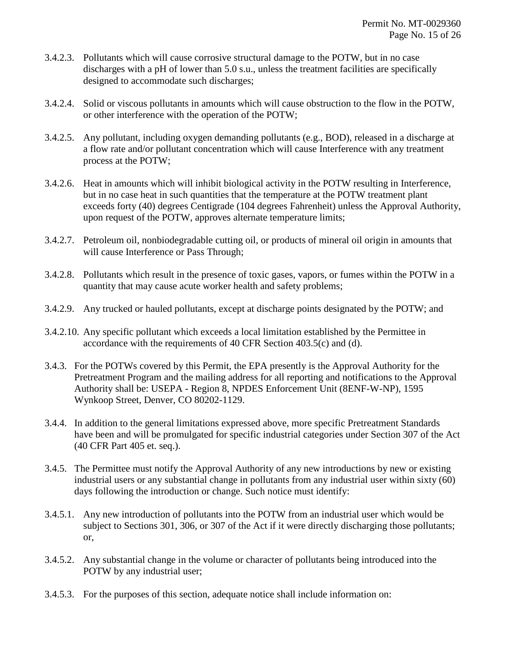- 3.4.2.3. Pollutants which will cause corrosive structural damage to the POTW, but in no case discharges with a pH of lower than 5.0 s.u., unless the treatment facilities are specifically designed to accommodate such discharges;
- 3.4.2.4. Solid or viscous pollutants in amounts which will cause obstruction to the flow in the POTW, or other interference with the operation of the POTW;
- 3.4.2.5. Any pollutant, including oxygen demanding pollutants (e.g., BOD), released in a discharge at a flow rate and/or pollutant concentration which will cause Interference with any treatment process at the POTW;
- 3.4.2.6. Heat in amounts which will inhibit biological activity in the POTW resulting in Interference, but in no case heat in such quantities that the temperature at the POTW treatment plant exceeds forty (40) degrees Centigrade (104 degrees Fahrenheit) unless the Approval Authority, upon request of the POTW, approves alternate temperature limits;
- 3.4.2.7. Petroleum oil, nonbiodegradable cutting oil, or products of mineral oil origin in amounts that will cause Interference or Pass Through;
- 3.4.2.8. Pollutants which result in the presence of toxic gases, vapors, or fumes within the POTW in a quantity that may cause acute worker health and safety problems;
- 3.4.2.9. Any trucked or hauled pollutants, except at discharge points designated by the POTW; and
- 3.4.2.10. Any specific pollutant which exceeds a local limitation established by the Permittee in accordance with the requirements of 40 CFR Section 403.5(c) and (d).
- 3.4.3. For the POTWs covered by this Permit, the EPA presently is the Approval Authority for the Pretreatment Program and the mailing address for all reporting and notifications to the Approval Authority shall be: USEPA - Region 8, NPDES Enforcement Unit (8ENF-W-NP), 1595 Wynkoop Street, Denver, CO 80202-1129.
- 3.4.4. In addition to the general limitations expressed above, more specific Pretreatment Standards have been and will be promulgated for specific industrial categories under Section 307 of the Act (40 CFR Part 405 et. seq.).
- 3.4.5. The Permittee must notify the Approval Authority of any new introductions by new or existing industrial users or any substantial change in pollutants from any industrial user within sixty (60) days following the introduction or change. Such notice must identify:
- 3.4.5.1. Any new introduction of pollutants into the POTW from an industrial user which would be subject to Sections 301, 306, or 307 of the Act if it were directly discharging those pollutants; or,
- 3.4.5.2. Any substantial change in the volume or character of pollutants being introduced into the POTW by any industrial user;
- 3.4.5.3. For the purposes of this section, adequate notice shall include information on: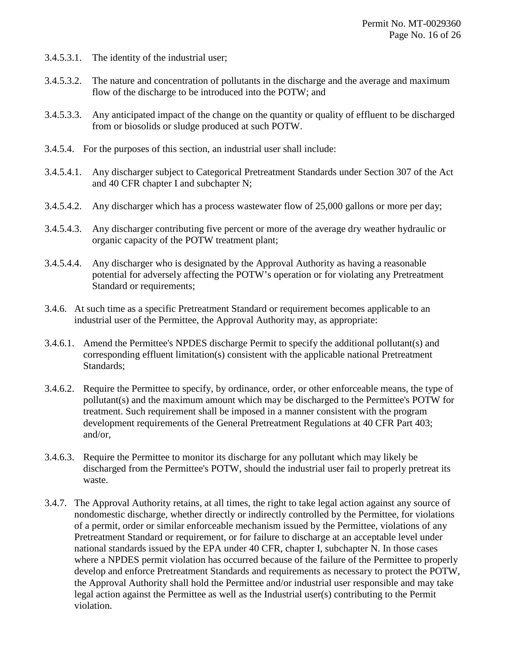- 3.4.5.3.1. The identity of the industrial user;
- 3.4.5.3.2. The nature and concentration of pollutants in the discharge and the average and maximum flow of the discharge to be introduced into the POTW; and
- 3.4.5.3.3. Any anticipated impact of the change on the quantity or quality of effluent to be discharged from or biosolids or sludge produced at such POTW.
- 3.4.5.4. For the purposes of this section, an industrial user shall include:
- 3.4.5.4.1. Any discharger subject to Categorical Pretreatment Standards under Section 307 of the Act and 40 CFR chapter I and subchapter N;
- 3.4.5.4.2. Any discharger which has a process wastewater flow of 25,000 gallons or more per day;
- 3.4.5.4.3. Any discharger contributing five percent or more of the average dry weather hydraulic or organic capacity of the POTW treatment plant;
- 3.4.5.4.4. Any discharger who is designated by the Approval Authority as having a reasonable potential for adversely affecting the POTW's operation or for violating any Pretreatment Standard or requirements;
- 3.4.6. At such time as a specific Pretreatment Standard or requirement becomes applicable to an industrial user of the Permittee, the Approval Authority may, as appropriate:
- 3.4.6.1. Amend the Permittee's NPDES discharge Permit to specify the additional pollutant(s) and corresponding effluent limitation(s) consistent with the applicable national Pretreatment Standards;
- 3.4.6.2. Require the Permittee to specify, by ordinance, order, or other enforceable means, the type of pollutant(s) and the maximum amount which may be discharged to the Permittee's POTW for treatment. Such requirement shall be imposed in a manner consistent with the program development requirements of the General Pretreatment Regulations at 40 CFR Part 403; and/or,
- 3.4.6.3. Require the Permittee to monitor its discharge for any pollutant which may likely be discharged from the Permittee's POTW, should the industrial user fail to properly pretreat its waste.
- 3.4.7. The Approval Authority retains, at all times, the right to take legal action against any source of nondomestic discharge, whether directly or indirectly controlled by the Permittee, for violations of a permit, order or similar enforceable mechanism issued by the Permittee, violations of any Pretreatment Standard or requirement, or for failure to discharge at an acceptable level under national standards issued by the EPA under 40 CFR, chapter I, subchapter N. In those cases where a NPDES permit violation has occurred because of the failure of the Permittee to properly develop and enforce Pretreatment Standards and requirements as necessary to protect the POTW, the Approval Authority shall hold the Permittee and/or industrial user responsible and may take legal action against the Permittee as well as the Industrial user(s) contributing to the Permit violation.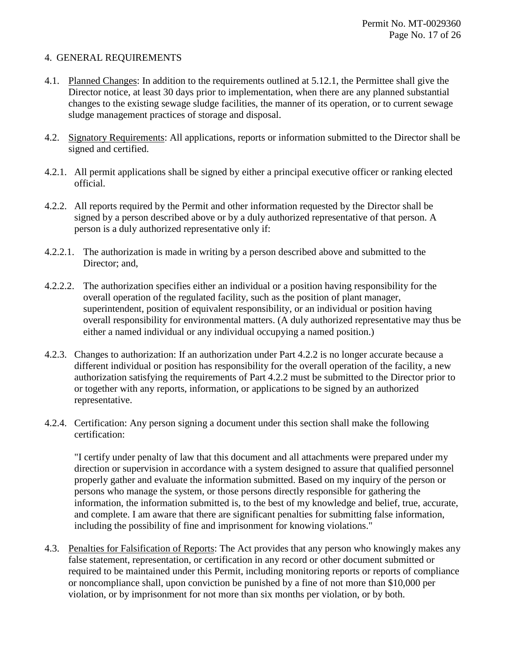#### 4. GENERAL REQUIREMENTS

- 4.1. Planned Changes: In addition to the requirements outlined at 5.12.1, the Permittee shall give the Director notice, at least 30 days prior to implementation, when there are any planned substantial changes to the existing sewage sludge facilities, the manner of its operation, or to current sewage sludge management practices of storage and disposal.
- 4.2. Signatory Requirements: All applications, reports or information submitted to the Director shall be signed and certified.
- 4.2.1. All permit applications shall be signed by either a principal executive officer or ranking elected official.
- 4.2.2. All reports required by the Permit and other information requested by the Director shall be signed by a person described above or by a duly authorized representative of that person. A person is a duly authorized representative only if:
- 4.2.2.1. The authorization is made in writing by a person described above and submitted to the Director; and,
- 4.2.2.2. The authorization specifies either an individual or a position having responsibility for the overall operation of the regulated facility, such as the position of plant manager, superintendent, position of equivalent responsibility, or an individual or position having overall responsibility for environmental matters. (A duly authorized representative may thus be either a named individual or any individual occupying a named position.)
- 4.2.3. Changes to authorization: If an authorization under Part 4.2.2 is no longer accurate because a different individual or position has responsibility for the overall operation of the facility, a new authorization satisfying the requirements of Part 4.2.2 must be submitted to the Director prior to or together with any reports, information, or applications to be signed by an authorized representative.
- 4.2.4. Certification: Any person signing a document under this section shall make the following certification:

"I certify under penalty of law that this document and all attachments were prepared under my direction or supervision in accordance with a system designed to assure that qualified personnel properly gather and evaluate the information submitted. Based on my inquiry of the person or persons who manage the system, or those persons directly responsible for gathering the information, the information submitted is, to the best of my knowledge and belief, true, accurate, and complete. I am aware that there are significant penalties for submitting false information, including the possibility of fine and imprisonment for knowing violations."

4.3. Penalties for Falsification of Reports: The Act provides that any person who knowingly makes any false statement, representation, or certification in any record or other document submitted or required to be maintained under this Permit, including monitoring reports or reports of compliance or noncompliance shall, upon conviction be punished by a fine of not more than \$10,000 per violation, or by imprisonment for not more than six months per violation, or by both.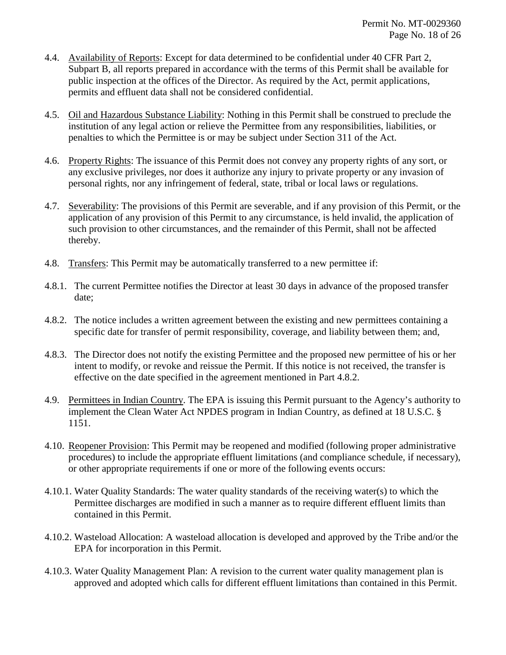- 4.4. Availability of Reports: Except for data determined to be confidential under 40 CFR Part 2, Subpart B, all reports prepared in accordance with the terms of this Permit shall be available for public inspection at the offices of the Director. As required by the Act, permit applications, permits and effluent data shall not be considered confidential.
- 4.5. Oil and Hazardous Substance Liability: Nothing in this Permit shall be construed to preclude the institution of any legal action or relieve the Permittee from any responsibilities, liabilities, or penalties to which the Permittee is or may be subject under Section 311 of the Act.
- 4.6. Property Rights: The issuance of this Permit does not convey any property rights of any sort, or any exclusive privileges, nor does it authorize any injury to private property or any invasion of personal rights, nor any infringement of federal, state, tribal or local laws or regulations.
- 4.7. Severability: The provisions of this Permit are severable, and if any provision of this Permit, or the application of any provision of this Permit to any circumstance, is held invalid, the application of such provision to other circumstances, and the remainder of this Permit, shall not be affected thereby.
- 4.8. Transfers: This Permit may be automatically transferred to a new permittee if:
- 4.8.1. The current Permittee notifies the Director at least 30 days in advance of the proposed transfer date;
- 4.8.2. The notice includes a written agreement between the existing and new permittees containing a specific date for transfer of permit responsibility, coverage, and liability between them; and,
- 4.8.3. The Director does not notify the existing Permittee and the proposed new permittee of his or her intent to modify, or revoke and reissue the Permit. If this notice is not received, the transfer is effective on the date specified in the agreement mentioned in Part 4.8.2.
- 4.9. Permittees in Indian Country. The EPA is issuing this Permit pursuant to the Agency's authority to implement the Clean Water Act NPDES program in Indian Country, as defined at 18 U.S.C. § 1151.
- 4.10. Reopener Provision: This Permit may be reopened and modified (following proper administrative procedures) to include the appropriate effluent limitations (and compliance schedule, if necessary), or other appropriate requirements if one or more of the following events occurs:
- 4.10.1. Water Quality Standards: The water quality standards of the receiving water(s) to which the Permittee discharges are modified in such a manner as to require different effluent limits than contained in this Permit.
- 4.10.2. Wasteload Allocation: A wasteload allocation is developed and approved by the Tribe and/or the EPA for incorporation in this Permit.
- 4.10.3. Water Quality Management Plan: A revision to the current water quality management plan is approved and adopted which calls for different effluent limitations than contained in this Permit.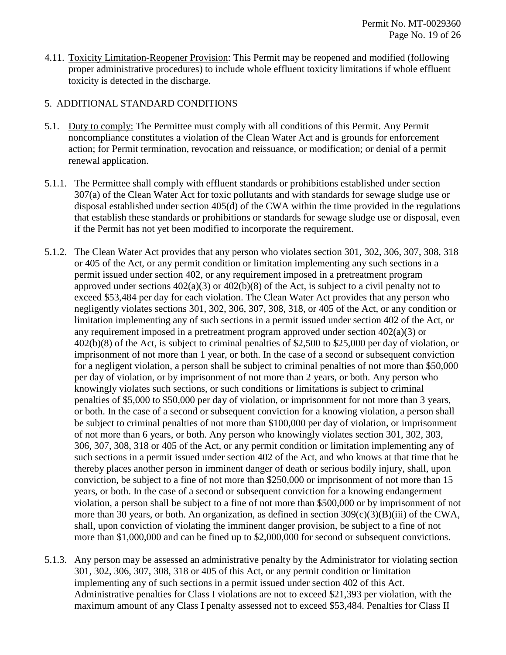4.11. Toxicity Limitation-Reopener Provision: This Permit may be reopened and modified (following proper administrative procedures) to include whole effluent toxicity limitations if whole effluent toxicity is detected in the discharge.

#### 5. ADDITIONAL STANDARD CONDITIONS

- 5.1. Duty to comply: The Permittee must comply with all conditions of this Permit. Any Permit noncompliance constitutes a violation of the Clean Water Act and is grounds for enforcement action; for Permit termination, revocation and reissuance, or modification; or denial of a permit renewal application.
- 5.1.1. The Permittee shall comply with effluent standards or prohibitions established under section 307(a) of the Clean Water Act for toxic pollutants and with standards for sewage sludge use or disposal established under section 405(d) of the CWA within the time provided in the regulations that establish these standards or prohibitions or standards for sewage sludge use or disposal, even if the Permit has not yet been modified to incorporate the requirement.
- 5.1.2. The Clean Water Act provides that any person who violates section 301, 302, 306, 307, 308, 318 or 405 of the Act, or any permit condition or limitation implementing any such sections in a permit issued under section 402, or any requirement imposed in a pretreatment program approved under sections  $402(a)(3)$  or  $402(b)(8)$  of the Act, is subject to a civil penalty not to exceed \$53,484 per day for each violation. The Clean Water Act provides that any person who negligently violates sections 301, 302, 306, 307, 308, 318, or 405 of the Act, or any condition or limitation implementing any of such sections in a permit issued under section 402 of the Act, or any requirement imposed in a pretreatment program approved under section 402(a)(3) or 402(b)(8) of the Act, is subject to criminal penalties of \$2,500 to \$25,000 per day of violation, or imprisonment of not more than 1 year, or both. In the case of a second or subsequent conviction for a negligent violation, a person shall be subject to criminal penalties of not more than \$50,000 per day of violation, or by imprisonment of not more than 2 years, or both. Any person who knowingly violates such sections, or such conditions or limitations is subject to criminal penalties of \$5,000 to \$50,000 per day of violation, or imprisonment for not more than 3 years, or both. In the case of a second or subsequent conviction for a knowing violation, a person shall be subject to criminal penalties of not more than \$100,000 per day of violation, or imprisonment of not more than 6 years, or both. Any person who knowingly violates section 301, 302, 303, 306, 307, 308, 318 or 405 of the Act, or any permit condition or limitation implementing any of such sections in a permit issued under section 402 of the Act, and who knows at that time that he thereby places another person in imminent danger of death or serious bodily injury, shall, upon conviction, be subject to a fine of not more than \$250,000 or imprisonment of not more than 15 years, or both. In the case of a second or subsequent conviction for a knowing endangerment violation, a person shall be subject to a fine of not more than \$500,000 or by imprisonment of not more than 30 years, or both. An organization, as defined in section  $309(c)(3)(B)(iii)$  of the CWA, shall, upon conviction of violating the imminent danger provision, be subject to a fine of not more than \$1,000,000 and can be fined up to \$2,000,000 for second or subsequent convictions.
- 5.1.3. Any person may be assessed an administrative penalty by the Administrator for violating section 301, 302, 306, 307, 308, 318 or 405 of this Act, or any permit condition or limitation implementing any of such sections in a permit issued under section 402 of this Act. Administrative penalties for Class I violations are not to exceed \$21,393 per violation, with the maximum amount of any Class I penalty assessed not to exceed \$53,484. Penalties for Class II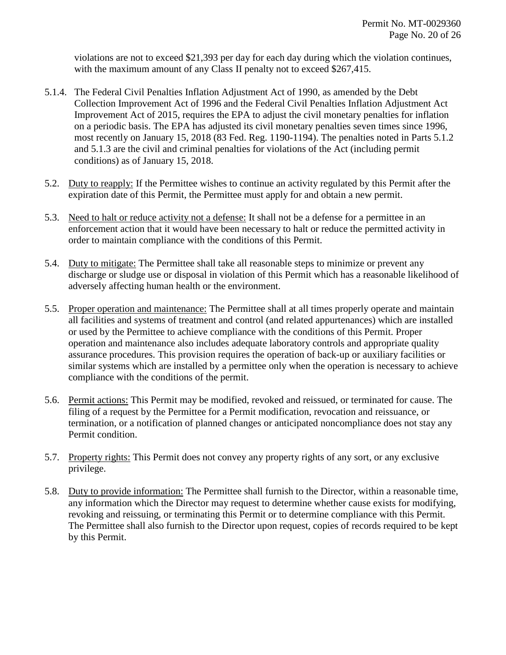violations are not to exceed \$21,393 per day for each day during which the violation continues, with the maximum amount of any Class II penalty not to exceed \$267,415.

- 5.1.4. The Federal Civil Penalties Inflation Adjustment Act of 1990, as amended by the Debt Collection Improvement Act of 1996 and the Federal Civil Penalties Inflation Adjustment Act Improvement Act of 2015, requires the EPA to adjust the civil monetary penalties for inflation on a periodic basis. The EPA has adjusted its civil monetary penalties seven times since 1996, most recently on January 15, 2018 (83 Fed. Reg. 1190-1194). The penalties noted in Parts 5.1.2 and 5.1.3 are the civil and criminal penalties for violations of the Act (including permit conditions) as of January 15, 2018.
- 5.2. Duty to reapply: If the Permittee wishes to continue an activity regulated by this Permit after the expiration date of this Permit, the Permittee must apply for and obtain a new permit.
- 5.3. Need to halt or reduce activity not a defense: It shall not be a defense for a permittee in an enforcement action that it would have been necessary to halt or reduce the permitted activity in order to maintain compliance with the conditions of this Permit.
- 5.4. Duty to mitigate: The Permittee shall take all reasonable steps to minimize or prevent any discharge or sludge use or disposal in violation of this Permit which has a reasonable likelihood of adversely affecting human health or the environment.
- 5.5. Proper operation and maintenance: The Permittee shall at all times properly operate and maintain all facilities and systems of treatment and control (and related appurtenances) which are installed or used by the Permittee to achieve compliance with the conditions of this Permit. Proper operation and maintenance also includes adequate laboratory controls and appropriate quality assurance procedures. This provision requires the operation of back-up or auxiliary facilities or similar systems which are installed by a permittee only when the operation is necessary to achieve compliance with the conditions of the permit.
- 5.6. Permit actions: This Permit may be modified, revoked and reissued, or terminated for cause. The filing of a request by the Permittee for a Permit modification, revocation and reissuance, or termination, or a notification of planned changes or anticipated noncompliance does not stay any Permit condition.
- 5.7. Property rights: This Permit does not convey any property rights of any sort, or any exclusive privilege.
- 5.8. Duty to provide information: The Permittee shall furnish to the Director, within a reasonable time, any information which the Director may request to determine whether cause exists for modifying, revoking and reissuing, or terminating this Permit or to determine compliance with this Permit. The Permittee shall also furnish to the Director upon request, copies of records required to be kept by this Permit.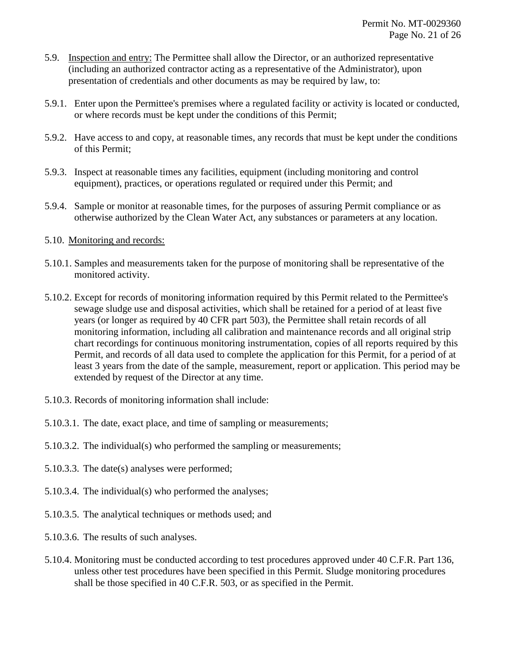- 5.9. Inspection and entry: The Permittee shall allow the Director, or an authorized representative (including an authorized contractor acting as a representative of the Administrator), upon presentation of credentials and other documents as may be required by law, to:
- 5.9.1. Enter upon the Permittee's premises where a regulated facility or activity is located or conducted, or where records must be kept under the conditions of this Permit;
- 5.9.2. Have access to and copy, at reasonable times, any records that must be kept under the conditions of this Permit;
- 5.9.3. Inspect at reasonable times any facilities, equipment (including monitoring and control equipment), practices, or operations regulated or required under this Permit; and
- 5.9.4. Sample or monitor at reasonable times, for the purposes of assuring Permit compliance or as otherwise authorized by the Clean Water Act, any substances or parameters at any location.
- 5.10. Monitoring and records:
- 5.10.1. Samples and measurements taken for the purpose of monitoring shall be representative of the monitored activity.
- 5.10.2. Except for records of monitoring information required by this Permit related to the Permittee's sewage sludge use and disposal activities, which shall be retained for a period of at least five years (or longer as required by 40 CFR part 503), the Permittee shall retain records of all monitoring information, including all calibration and maintenance records and all original strip chart recordings for continuous monitoring instrumentation, copies of all reports required by this Permit, and records of all data used to complete the application for this Permit, for a period of at least 3 years from the date of the sample, measurement, report or application. This period may be extended by request of the Director at any time.
- 5.10.3. Records of monitoring information shall include:
- 5.10.3.1. The date, exact place, and time of sampling or measurements;
- 5.10.3.2. The individual(s) who performed the sampling or measurements;
- 5.10.3.3. The date(s) analyses were performed;
- 5.10.3.4. The individual(s) who performed the analyses;
- 5.10.3.5. The analytical techniques or methods used; and
- 5.10.3.6. The results of such analyses.
- 5.10.4. Monitoring must be conducted according to test procedures approved under 40 C.F.R. Part 136, unless other test procedures have been specified in this Permit. Sludge monitoring procedures shall be those specified in 40 C.F.R. 503, or as specified in the Permit.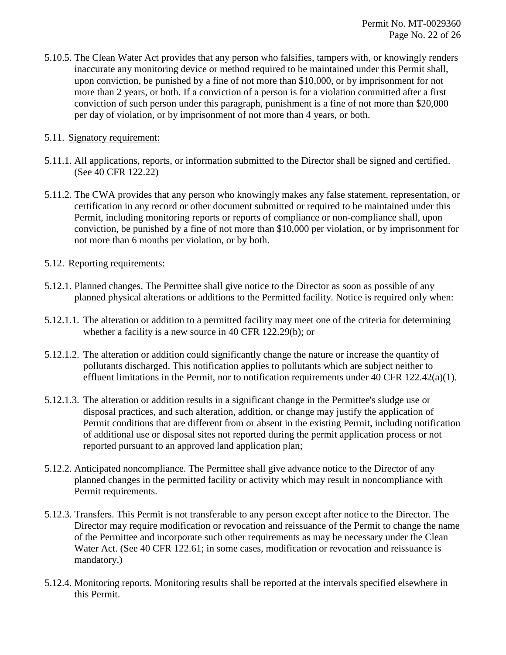5.10.5. The Clean Water Act provides that any person who falsifies, tampers with, or knowingly renders inaccurate any monitoring device or method required to be maintained under this Permit shall, upon conviction, be punished by a fine of not more than \$10,000, or by imprisonment for not more than 2 years, or both. If a conviction of a person is for a violation committed after a first conviction of such person under this paragraph, punishment is a fine of not more than \$20,000 per day of violation, or by imprisonment of not more than 4 years, or both.

#### 5.11. Signatory requirement:

- 5.11.1. All applications, reports, or information submitted to the Director shall be signed and certified. (See 40 CFR 122.22)
- 5.11.2. The CWA provides that any person who knowingly makes any false statement, representation, or certification in any record or other document submitted or required to be maintained under this Permit, including monitoring reports or reports of compliance or non-compliance shall, upon conviction, be punished by a fine of not more than \$10,000 per violation, or by imprisonment for not more than 6 months per violation, or by both.

#### 5.12. Reporting requirements:

- 5.12.1. Planned changes. The Permittee shall give notice to the Director as soon as possible of any planned physical alterations or additions to the Permitted facility. Notice is required only when:
- 5.12.1.1. The alteration or addition to a permitted facility may meet one of the criteria for determining whether a facility is a new source in 40 CFR 122.29(b); or
- 5.12.1.2. The alteration or addition could significantly change the nature or increase the quantity of pollutants discharged. This notification applies to pollutants which are subject neither to effluent limitations in the Permit, nor to notification requirements under 40 CFR 122.42(a)(1).
- 5.12.1.3. The alteration or addition results in a significant change in the Permittee's sludge use or disposal practices, and such alteration, addition, or change may justify the application of Permit conditions that are different from or absent in the existing Permit, including notification of additional use or disposal sites not reported during the permit application process or not reported pursuant to an approved land application plan;
- 5.12.2. Anticipated noncompliance. The Permittee shall give advance notice to the Director of any planned changes in the permitted facility or activity which may result in noncompliance with Permit requirements.
- 5.12.3. Transfers. This Permit is not transferable to any person except after notice to the Director. The Director may require modification or revocation and reissuance of the Permit to change the name of the Permittee and incorporate such other requirements as may be necessary under the Clean Water Act. (See 40 CFR 122.61; in some cases, modification or revocation and reissuance is mandatory.)
- 5.12.4. Monitoring reports. Monitoring results shall be reported at the intervals specified elsewhere in this Permit.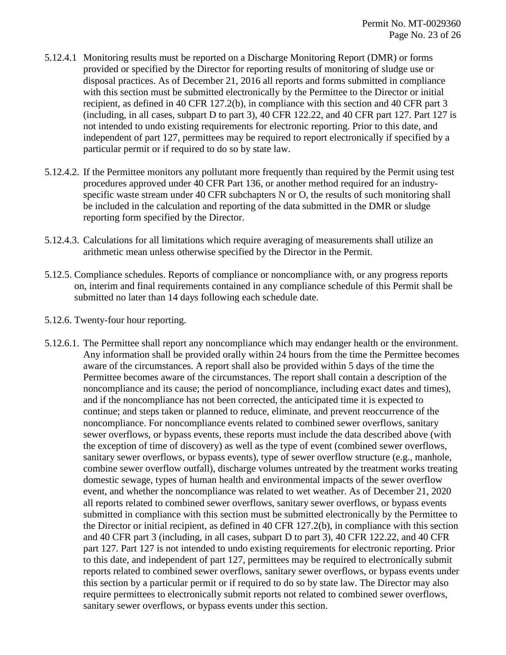- 5.12.4.1 Monitoring results must be reported on a Discharge Monitoring Report (DMR) or forms provided or specified by the Director for reporting results of monitoring of sludge use or disposal practices. As of December 21, 2016 all reports and forms submitted in compliance with this section must be submitted electronically by the Permittee to the Director or initial recipient, as defined in 40 CFR 127.2(b), in compliance with this section and 40 CFR part 3 (including, in all cases, subpart D to part 3), 40 CFR 122.22, and 40 CFR part 127. Part 127 is not intended to undo existing requirements for electronic reporting. Prior to this date, and independent of part 127, permittees may be required to report electronically if specified by a particular permit or if required to do so by state law.
- 5.12.4.2. If the Permittee monitors any pollutant more frequently than required by the Permit using test procedures approved under 40 CFR Part 136, or another method required for an industryspecific waste stream under 40 CFR subchapters N or O, the results of such monitoring shall be included in the calculation and reporting of the data submitted in the DMR or sludge reporting form specified by the Director.
- 5.12.4.3. Calculations for all limitations which require averaging of measurements shall utilize an arithmetic mean unless otherwise specified by the Director in the Permit.
- 5.12.5. Compliance schedules. Reports of compliance or noncompliance with, or any progress reports on, interim and final requirements contained in any compliance schedule of this Permit shall be submitted no later than 14 days following each schedule date.
- 5.12.6. Twenty-four hour reporting.
- 5.12.6.1. The Permittee shall report any noncompliance which may endanger health or the environment. Any information shall be provided orally within 24 hours from the time the Permittee becomes aware of the circumstances. A report shall also be provided within 5 days of the time the Permittee becomes aware of the circumstances. The report shall contain a description of the noncompliance and its cause; the period of noncompliance, including exact dates and times), and if the noncompliance has not been corrected, the anticipated time it is expected to continue; and steps taken or planned to reduce, eliminate, and prevent reoccurrence of the noncompliance. For noncompliance events related to combined sewer overflows, sanitary sewer overflows, or bypass events, these reports must include the data described above (with the exception of time of discovery) as well as the type of event (combined sewer overflows, sanitary sewer overflows, or bypass events), type of sewer overflow structure (e.g., manhole, combine sewer overflow outfall), discharge volumes untreated by the treatment works treating domestic sewage, types of human health and environmental impacts of the sewer overflow event, and whether the noncompliance was related to wet weather. As of December 21, 2020 all reports related to combined sewer overflows, sanitary sewer overflows, or bypass events submitted in compliance with this section must be submitted electronically by the Permittee to the Director or initial recipient, as defined in 40 CFR 127.2(b), in compliance with this section and 40 CFR part 3 (including, in all cases, subpart D to part 3), 40 CFR 122.22, and 40 CFR part 127. Part 127 is not intended to undo existing requirements for electronic reporting. Prior to this date, and independent of part 127, permittees may be required to electronically submit reports related to combined sewer overflows, sanitary sewer overflows, or bypass events under this section by a particular permit or if required to do so by state law. The Director may also require permittees to electronically submit reports not related to combined sewer overflows, sanitary sewer overflows, or bypass events under this section.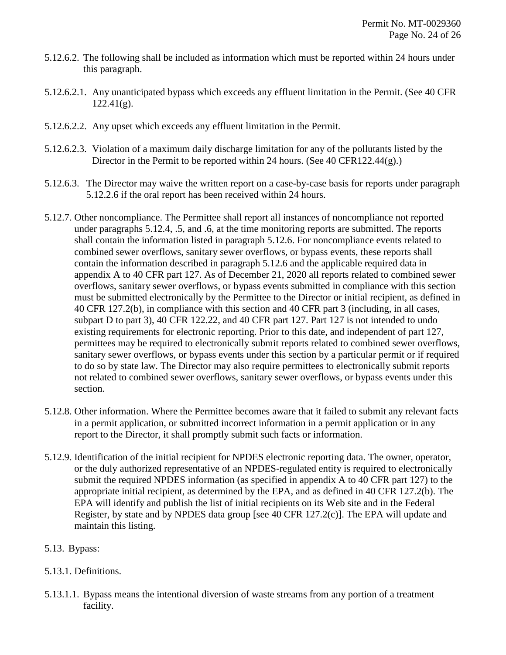- 5.12.6.2. The following shall be included as information which must be reported within 24 hours under this paragraph.
- 5.12.6.2.1. Any unanticipated bypass which exceeds any effluent limitation in the Permit. (See 40 CFR  $122.41(g)$ .
- 5.12.6.2.2. Any upset which exceeds any effluent limitation in the Permit.
- 5.12.6.2.3. Violation of a maximum daily discharge limitation for any of the pollutants listed by the Director in the Permit to be reported within 24 hours. (See 40 CFR122.44(g).)
- 5.12.6.3. The Director may waive the written report on a case-by-case basis for reports under paragraph 5.12.2.6 if the oral report has been received within 24 hours.
- 5.12.7. Other noncompliance. The Permittee shall report all instances of noncompliance not reported under paragraphs 5.12.4, .5, and .6, at the time monitoring reports are submitted. The reports shall contain the information listed in paragraph 5.12.6. For noncompliance events related to combined sewer overflows, sanitary sewer overflows, or bypass events, these reports shall contain the information described in paragraph 5.12.6 and the applicable required data in appendix A to 40 CFR part 127. As of December 21, 2020 all reports related to combined sewer overflows, sanitary sewer overflows, or bypass events submitted in compliance with this section must be submitted electronically by the Permittee to the Director or initial recipient, as defined in 40 CFR 127.2(b), in compliance with this section and 40 CFR part 3 (including, in all cases, subpart D to part 3), 40 CFR 122.22, and 40 CFR part 127. Part 127 is not intended to undo existing requirements for electronic reporting. Prior to this date, and independent of part 127, permittees may be required to electronically submit reports related to combined sewer overflows, sanitary sewer overflows, or bypass events under this section by a particular permit or if required to do so by state law. The Director may also require permittees to electronically submit reports not related to combined sewer overflows, sanitary sewer overflows, or bypass events under this section.
- 5.12.8. Other information. Where the Permittee becomes aware that it failed to submit any relevant facts in a permit application, or submitted incorrect information in a permit application or in any report to the Director, it shall promptly submit such facts or information.
- 5.12.9. Identification of the initial recipient for NPDES electronic reporting data. The owner, operator, or the duly authorized representative of an NPDES-regulated entity is required to electronically submit the required NPDES information (as specified in appendix A to 40 CFR part 127) to the appropriate initial recipient, as determined by the EPA, and as defined in 40 CFR 127.2(b). The EPA will identify and publish the list of initial recipients on its Web site and in the Federal Register, by state and by NPDES data group [see 40 CFR 127.2(c)]. The EPA will update and maintain this listing.

## 5.13. Bypass:

## 5.13.1. Definitions.

5.13.1.1. Bypass means the intentional diversion of waste streams from any portion of a treatment facility.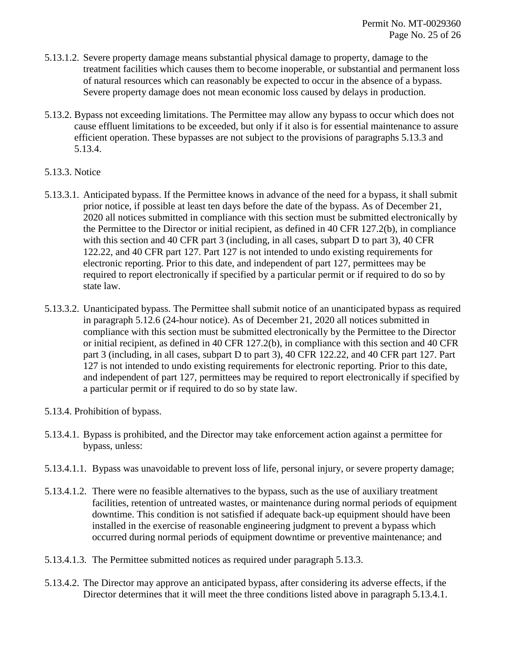- 5.13.1.2. Severe property damage means substantial physical damage to property, damage to the treatment facilities which causes them to become inoperable, or substantial and permanent loss of natural resources which can reasonably be expected to occur in the absence of a bypass. Severe property damage does not mean economic loss caused by delays in production.
- 5.13.2. Bypass not exceeding limitations. The Permittee may allow any bypass to occur which does not cause effluent limitations to be exceeded, but only if it also is for essential maintenance to assure efficient operation. These bypasses are not subject to the provisions of paragraphs 5.13.3 and 5.13.4.
- 5.13.3. Notice
- 5.13.3.1. Anticipated bypass. If the Permittee knows in advance of the need for a bypass, it shall submit prior notice, if possible at least ten days before the date of the bypass. As of December 21, 2020 all notices submitted in compliance with this section must be submitted electronically by the Permittee to the Director or initial recipient, as defined in 40 CFR 127.2(b), in compliance with this section and 40 CFR part 3 (including, in all cases, subpart D to part 3), 40 CFR 122.22, and 40 CFR part 127. Part 127 is not intended to undo existing requirements for electronic reporting. Prior to this date, and independent of part 127, permittees may be required to report electronically if specified by a particular permit or if required to do so by state law.
- 5.13.3.2. Unanticipated bypass. The Permittee shall submit notice of an unanticipated bypass as required in paragraph 5.12.6 (24-hour notice). As of December 21, 2020 all notices submitted in compliance with this section must be submitted electronically by the Permittee to the Director or initial recipient, as defined in 40 CFR 127.2(b), in compliance with this section and 40 CFR part 3 (including, in all cases, subpart D to part 3), 40 CFR 122.22, and 40 CFR part 127. Part 127 is not intended to undo existing requirements for electronic reporting. Prior to this date, and independent of part 127, permittees may be required to report electronically if specified by a particular permit or if required to do so by state law.
- 5.13.4. Prohibition of bypass.
- 5.13.4.1. Bypass is prohibited, and the Director may take enforcement action against a permittee for bypass, unless:
- 5.13.4.1.1. Bypass was unavoidable to prevent loss of life, personal injury, or severe property damage;
- 5.13.4.1.2. There were no feasible alternatives to the bypass, such as the use of auxiliary treatment facilities, retention of untreated wastes, or maintenance during normal periods of equipment downtime. This condition is not satisfied if adequate back-up equipment should have been installed in the exercise of reasonable engineering judgment to prevent a bypass which occurred during normal periods of equipment downtime or preventive maintenance; and
- 5.13.4.1.3. The Permittee submitted notices as required under paragraph 5.13.3.
- 5.13.4.2. The Director may approve an anticipated bypass, after considering its adverse effects, if the Director determines that it will meet the three conditions listed above in paragraph 5.13.4.1.